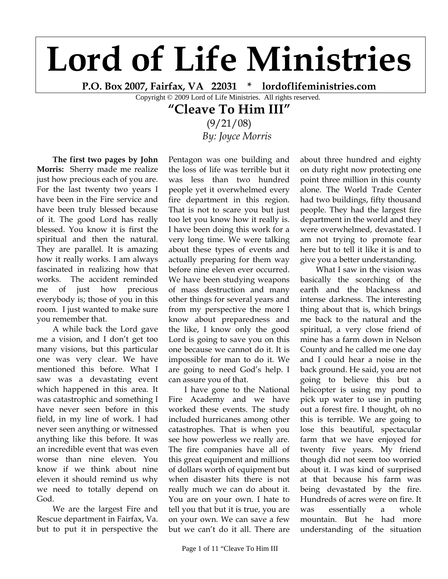## **Lord of Life Ministries**

**P.O. Box 2007, Fairfax, VA 22031 \* lordoflifeministries.com** 

Copyright © 2009 Lord of Life Ministries. All rights reserved.

## **"Cleave To Him III"**

(9/21/08) *By: Joyce Morris* 

**The first two pages by John Morris:** Sherry made me realize just how precious each of you are. For the last twenty two years I have been in the Fire service and have been truly blessed because of it. The good Lord has really blessed. You know it is first the spiritual and then the natural. They are parallel. It is amazing how it really works. I am always fascinated in realizing how that works. The accident reminded me of just how precious everybody is; those of you in this room. I just wanted to make sure you remember that.

A while back the Lord gave me a vision, and I don't get too many visions, but this particular one was very clear. We have mentioned this before. What I saw was a devastating event which happened in this area. It was catastrophic and something I have never seen before in this field, in my line of work. I had never seen anything or witnessed anything like this before. It was an incredible event that was even worse than nine eleven. You know if we think about nine eleven it should remind us why we need to totally depend on God.

We are the largest Fire and Rescue department in Fairfax, Va. but to put it in perspective the

Pentagon was one building and the loss of life was terrible but it was less than two hundred people yet it overwhelmed every fire department in this region. That is not to scare you but just too let you know how it really is. I have been doing this work for a very long time. We were talking about these types of events and actually preparing for them way before nine eleven ever occurred. We have been studying weapons of mass destruction and many other things for several years and from my perspective the more I know about preparedness and the like, I know only the good Lord is going to save you on this one because we cannot do it. It is impossible for man to do it. We are going to need God's help. I can assure you of that.

I have gone to the National Fire Academy and we have worked these events. The study included hurricanes among other catastrophes. That is when you see how powerless we really are. The fire companies have all of this great equipment and millions of dollars worth of equipment but when disaster hits there is not really much we can do about it. You are on your own. I hate to tell you that but it is true, you are on your own. We can save a few but we can't do it all. There are

about three hundred and eighty on duty right now protecting one point three million in this county alone. The World Trade Center had two buildings, fifty thousand people. They had the largest fire department in the world and they were overwhelmed, devastated. I am not trying to promote fear here but to tell it like it is and to give you a better understanding.

 What I saw in the vision was basically the scorching of the earth and the blackness and intense darkness. The interesting thing about that is, which brings me back to the natural and the spiritual, a very close friend of mine has a farm down in Nelson County and he called me one day and I could hear a noise in the back ground. He said, you are not going to believe this but a helicopter is using my pond to pick up water to use in putting out a forest fire. I thought, oh no this is terrible. We are going to lose this beautiful, spectacular farm that we have enjoyed for twenty five years. My friend though did not seem too worried about it. I was kind of surprised at that because his farm was being devastated by the fire. Hundreds of acres were on fire. It was essentially a whole mountain. But he had more understanding of the situation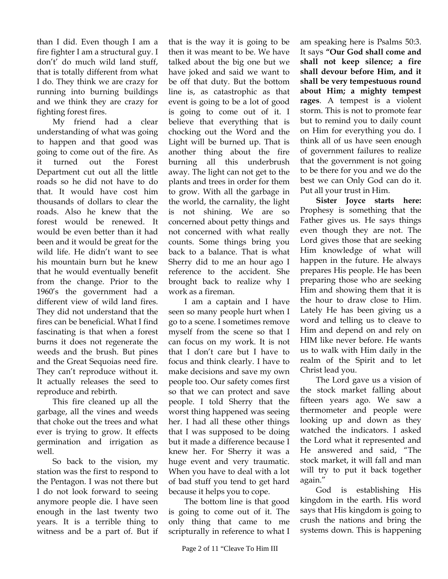than I did. Even though I am a fire fighter I am a structural guy. I don't' do much wild land stuff, that is totally different from what I do. They think we are crazy for running into burning buildings and we think they are crazy for fighting forest fires.

My friend had a clear understanding of what was going to happen and that good was going to come out of the fire. As it turned out the Forest Department cut out all the little roads so he did not have to do that. It would have cost him thousands of dollars to clear the roads. Also he knew that the forest would be renewed. It would be even better than it had been and it would be great for the wild life. He didn't want to see his mountain burn but he knew that he would eventually benefit from the change. Prior to the 1960's the government had a different view of wild land fires. They did not understand that the fires can be beneficial. What I find fascinating is that when a forest burns it does not regenerate the weeds and the brush. But pines and the Great Sequoias need fire. They can't reproduce without it. It actually releases the seed to reproduce and rebirth.

This fire cleaned up all the garbage, all the vines and weeds that choke out the trees and what ever is trying to grow. It effects germination and irrigation as well.

So back to the vision, my station was the first to respond to the Pentagon. I was not there but I do not look forward to seeing anymore people die. I have seen enough in the last twenty two years. It is a terrible thing to witness and be a part of. But if

that is the way it is going to be then it was meant to be. We have talked about the big one but we have joked and said we want to be off that duty. But the bottom line is, as catastrophic as that event is going to be a lot of good is going to come out of it. I believe that everything that is chocking out the Word and the Light will be burned up. That is another thing about the fire burning all this underbrush away. The light can not get to the plants and trees in order for them to grow. With all the garbage in the world, the carnality, the light is not shining. We are so concerned about petty things and not concerned with what really counts. Some things bring you back to a balance. That is what Sherry did to me an hour ago I reference to the accident. She brought back to realize why I work as a fireman.

I am a captain and I have seen so many people hurt when I go to a scene. I sometimes remove myself from the scene so that I can focus on my work. It is not that I don't care but I have to focus and think clearly. I have to make decisions and save my own people too. Our safety comes first so that we can protect and save people. I told Sherry that the worst thing happened was seeing her. I had all these other things that I was supposed to be doing but it made a difference because I knew her. For Sherry it was a huge event and very traumatic. When you have to deal with a lot of bad stuff you tend to get hard because it helps you to cope.

The bottom line is that good is going to come out of it. The only thing that came to me scripturally in reference to what I

am speaking here is Psalms 50:3. It says **"Our God shall come and shall not keep silence; a fire shall devour before Him, and it shall be very tempestuous round about Him; a mighty tempest rages**. A tempest is a violent storm. This is not to promote fear but to remind you to daily count on Him for everything you do. I think all of us have seen enough of government failures to realize that the government is not going to be there for you and we do the best we can Only God can do it. Put all your trust in Him.

**Sister Joyce starts here:**  Prophesy is something that the Father gives us. He says things even though they are not. The Lord gives those that are seeking Him knowledge of what will happen in the future. He always prepares His people. He has been preparing those who are seeking Him and showing them that it is the hour to draw close to Him. Lately He has been giving us a word and telling us to cleave to Him and depend on and rely on HIM like never before. He wants us to walk with Him daily in the realm of the Spirit and to let Christ lead you.

The Lord gave us a vision of the stock market falling about fifteen years ago. We saw a thermometer and people were looking up and down as they watched the indicators. I asked the Lord what it represented and He answered and said, "The stock market, it will fall and man will try to put it back together again."

God is establishing His kingdom in the earth. His word says that His kingdom is going to crush the nations and bring the systems down. This is happening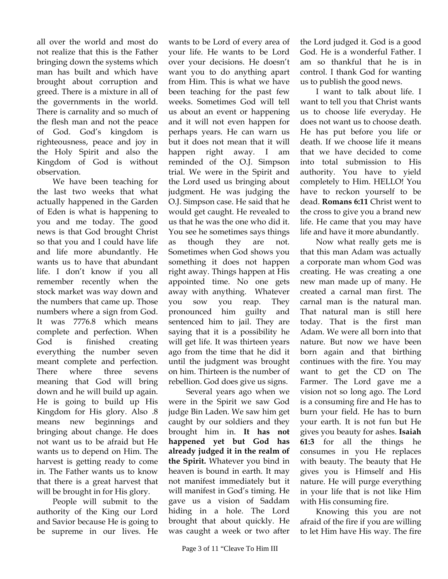all over the world and most do not realize that this is the Father bringing down the systems which man has built and which have brought about corruption and greed. There is a mixture in all of the governments in the world. There is carnality and so much of the flesh man and not the peace of God. God's kingdom is righteousness, peace and joy in the Holy Spirit and also the Kingdom of God is without observation.

We have been teaching for the last two weeks that what actually happened in the Garden of Eden is what is happening to you and me today. The good news is that God brought Christ so that you and I could have life and life more abundantly. He wants us to have that abundant life. I don't know if you all remember recently when the stock market was way down and the numbers that came up. Those numbers where a sign from God. It was 7776.8 which means complete and perfection. When God is finished creating everything the number seven meant complete and perfection. There where three sevens meaning that God will bring down and he will build up again. He is going to build up His Kingdom for His glory. Also .8 means new beginnings and bringing about change. He does not want us to be afraid but He wants us to depend on Him. The harvest is getting ready to come in. The Father wants us to know that there is a great harvest that will be brought in for His glory.

People will submit to the authority of the King our Lord and Savior because He is going to be supreme in our lives. He

wants to be Lord of every area of your life. He wants to be Lord over your decisions. He doesn't want you to do anything apart from Him. This is what we have been teaching for the past few weeks. Sometimes God will tell us about an event or happening and it will not even happen for perhaps years. He can warn us but it does not mean that it will happen right away. I am reminded of the O.J. Simpson trial. We were in the Spirit and the Lord used us bringing about judgment. He was judging the O.J. Simpson case. He said that he would get caught. He revealed to us that he was the one who did it. You see he sometimes says things as though they are not. Sometimes when God shows you something it does not happen right away. Things happen at His appointed time. No one gets away with anything. Whatever you sow you reap. They pronounced him guilty and sentenced him to jail. They are saying that it is a possibility he will get life. It was thirteen years ago from the time that he did it until the judgment was brought on him. Thirteen is the number of rebellion. God does give us signs.

 Several years ago when we were in the Spirit we saw God judge Bin Laden. We saw him get caught by our soldiers and they brought him in. **It has not happened yet but God has already judged it in the realm of the Spirit.** Whatever you bind in heaven is bound in earth. It may not manifest immediately but it will manifest in God's timing. He gave us a vision of Saddam hiding in a hole. The Lord brought that about quickly. He was caught a week or two after

the Lord judged it. God is a good God. He is a wonderful Father. I am so thankful that he is in control. I thank God for wanting us to publish the good news.

I want to talk about life. I want to tell you that Christ wants us to choose life everyday. He does not want us to choose death. He has put before you life or death. If we choose life it means that we have decided to come into total submission to His authority. You have to yield completely to Him. HELLO! You have to reckon yourself to be dead. **Romans 6:11** Christ went to the cross to give you a brand new life. He came that you may have life and have it more abundantly.

Now what really gets me is that this man Adam was actually a corporate man whom God was creating. He was creating a one new man made up of many. He created a carnal man first. The carnal man is the natural man. That natural man is still here today. That is the first man Adam. We were all born into that nature. But now we have been born again and that birthing continues with the fire. You may want to get the CD on The Farmer. The Lord gave me a vision not so long ago. The Lord is a consuming fire and He has to burn your field. He has to burn your earth. It is not fun but He gives you beauty for ashes. **Isaiah 61:3** for all the things he consumes in you He replaces with beauty. The beauty that He gives you is Himself and His nature. He will purge everything in your life that is not like Him with His consuming fire.

Knowing this you are not afraid of the fire if you are willing to let Him have His way. The fire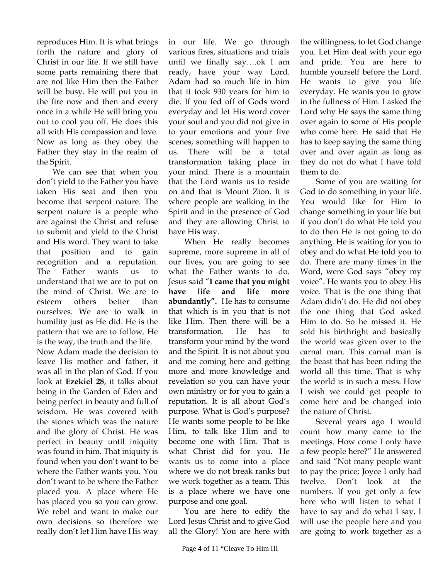reproduces Him. It is what brings forth the nature and glory of Christ in our life. If we still have some parts remaining there that are not like Him then the Father will be busy. He will put you in the fire now and then and every once in a while He will bring you out to cool you off. He does this all with His compassion and love. Now as long as they obey the Father they stay in the realm of the Spirit.

We can see that when you don't yield to the Father you have taken His seat and then you become that serpent nature. The serpent nature is a people who are against the Christ and refuse to submit and yield to the Christ and His word. They want to take that position and to gain recognition and a reputation. The Father wants us to understand that we are to put on the mind of Christ. We are to esteem others better than ourselves. We are to walk in humility just as He did. He is the pattern that we are to follow. He is the way, the truth and the life. Now Adam made the decision to leave His mother and father, it was all in the plan of God. If you look at **Ezekiel 28**, it talks about being in the Garden of Eden and being perfect in beauty and full of wisdom. He was covered with the stones which was the nature and the glory of Christ. He was perfect in beauty until iniquity was found in him. That iniquity is found when you don't want to be where the Father wants you. You don't want to be where the Father placed you. A place where He has placed you so you can grow. We rebel and want to make our own decisions so therefore we really don't let Him have His way

in our life. We go through various fires, situations and trials until we finally say….ok I am ready, have your way Lord. Adam had so much life in him that it took 930 years for him to die. If you fed off of Gods word everyday and let His word cover your soul and you did not give in to your emotions and your five scenes, something will happen to us. There will be a total transformation taking place in your mind. There is a mountain that the Lord wants us to reside on and that is Mount Zion. It is where people are walking in the Spirit and in the presence of God and they are allowing Christ to have His way.

When He really becomes supreme, more supreme in all of our lives, you are going to see what the Father wants to do. Jesus said "**I came that you might have life and life more abundantly".** He has to consume that which is in you that is not like Him. Then there will be a transformation. He has to transform your mind by the word and the Spirit. It is not about you and me coming here and getting more and more knowledge and revelation so you can have your own ministry or for you to gain a reputation. It is all about God's purpose. What is God's purpose? He wants some people to be like Him, to talk like Him and to become one with Him. That is what Christ did for you. He wants us to come into a place where we do not break ranks but we work together as a team. This is a place where we have one purpose and one goal.

You are here to edify the Lord Jesus Christ and to give God all the Glory! You are here with

the willingness, to let God change you. Let Him deal with your ego and pride. You are here to humble yourself before the Lord. He wants to give you life everyday. He wants you to grow in the fullness of Him. I asked the Lord why He says the same thing over again to some of His people who come here. He said that He has to keep saying the same thing over and over again as long as they do not do what I have told them to do.

Some of you are waiting for God to do something in your life. You would like for Him to change something in your life but if you don't do what He told you to do then He is not going to do anything. He is waiting for you to obey and do what He told you to do. There are many times in the Word, were God says "obey my voice". He wants you to obey His voice. That is the one thing that Adam didn't do. He did not obey the one thing that God asked Him to do. So he missed it. He sold his birthright and basically the world was given over to the carnal man. This carnal man is the beast that has been riding the world all this time. That is why the world is in such a mess. How I wish we could get people to come here and be changed into the nature of Christ.

Several years ago I would count how many came to the meetings. How come I only have a few people here?" He answered and said "Not many people want to pay the price; Joyce I only had twelve. Don't look at the numbers. If you get only a few here who will listen to what I have to say and do what I say, I will use the people here and you are going to work together as a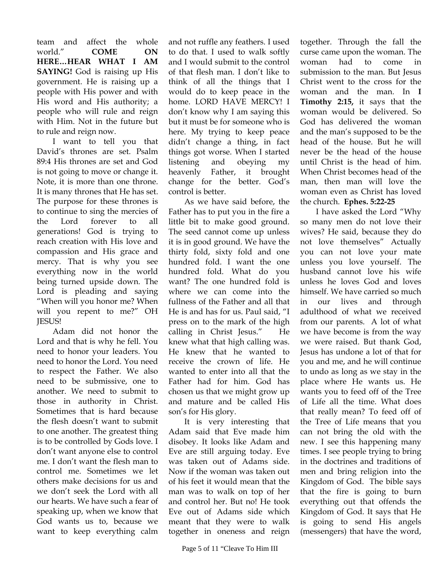team and affect the whole world." **COME ON HERE…HEAR WHAT I AM SAYING!** God is raising up His government. He is raising up a people with His power and with His word and His authority; a people who will rule and reign with Him. Not in the future but to rule and reign now.

I want to tell you that David's thrones are set. Psalm 89:4 His thrones are set and God is not going to move or change it. Note, it is more than one throne. It is many thrones that He has set. The purpose for these thrones is to continue to sing the mercies of the Lord forever to all generations! God is trying to reach creation with His love and compassion and His grace and mercy. That is why you see everything now in the world being turned upside down. The Lord is pleading and saying "When will you honor me? When will you repent to me?" OH JESUS!

Adam did not honor the Lord and that is why he fell. You need to honor your leaders. You need to honor the Lord. You need to respect the Father. We also need to be submissive, one to another. We need to submit to those in authority in Christ. Sometimes that is hard because the flesh doesn't want to submit to one another. The greatest thing is to be controlled by Gods love. I don't want anyone else to control me. I don't want the flesh man to control me. Sometimes we let others make decisions for us and we don't seek the Lord with all our hearts. We have such a fear of speaking up, when we know that God wants us to, because we want to keep everything calm

and not ruffle any feathers. I used to do that. I used to walk softly and I would submit to the control of that flesh man. I don't like to think of all the things that I would do to keep peace in the home. LORD HAVE MERCY! I don't know why I am saying this but it must be for someone who is here. My trying to keep peace didn't change a thing, in fact things got worse. When I started listening and obeying my heavenly Father, it brought change for the better. God's control is better.

As we have said before, the Father has to put you in the fire a little bit to make good ground. The seed cannot come up unless it is in good ground. We have the thirty fold, sixty fold and one hundred fold. I want the one hundred fold. What do you want? The one hundred fold is where we can come into the fullness of the Father and all that He is and has for us. Paul said, "I press on to the mark of the high calling in Christ Jesus." He knew what that high calling was. He knew that he wanted to receive the crown of life. He wanted to enter into all that the Father had for him. God has chosen us that we might grow up and mature and be called His son's for His glory.

It is very interesting that Adam said that Eve made him disobey. It looks like Adam and Eve are still arguing today. Eve was taken out of Adams side. Now if the woman was taken out of his feet it would mean that the man was to walk on top of her and control her. But no! He took Eve out of Adams side which meant that they were to walk together in oneness and reign together. Through the fall the curse came upon the woman. The woman had to come in submission to the man. But Jesus Christ went to the cross for the woman and the man. In **I Timothy 2:15,** it says that the woman would be delivered. So God has delivered the woman and the man's supposed to be the head of the house. But he will never be the head of the house until Christ is the head of him. When Christ becomes head of the man, then man will love the woman even as Christ has loved the church. **Ephes. 5:22-25** 

I have asked the Lord "Why so many men do not love their wives? He said, because they do not love themselves" Actually you can not love your mate unless you love yourself. The husband cannot love his wife unless he loves God and loves himself. We have carried so much in our lives and through adulthood of what we received from our parents. A lot of what we have become is from the way we were raised. But thank God, Jesus has undone a lot of that for you and me, and he will continue to undo as long as we stay in the place where He wants us. He wants you to feed off of the Tree of Life all the time. What does that really mean? To feed off of the Tree of Life means that you can not bring the old with the new. I see this happening many times. I see people trying to bring in the doctrines and traditions of men and bring religion into the Kingdom of God. The bible says that the fire is going to burn everything out that offends the Kingdom of God. It says that He is going to send His angels (messengers) that have the word,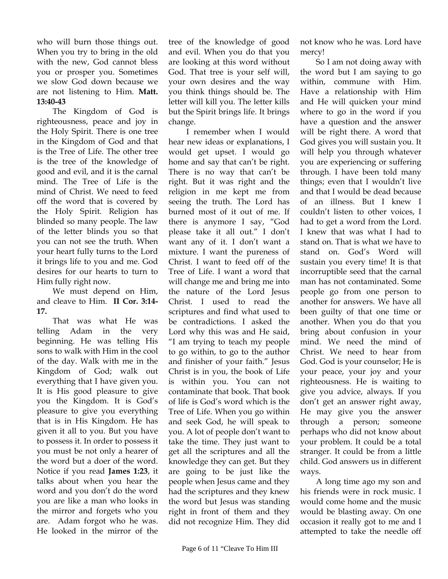who will burn those things out. When you try to bring in the old with the new, God cannot bless you or prosper you. Sometimes we slow God down because we are not listening to Him. **Matt. 13:40-43** 

The Kingdom of God is righteousness, peace and joy in the Holy Spirit. There is one tree in the Kingdom of God and that is the Tree of Life. The other tree is the tree of the knowledge of good and evil, and it is the carnal mind. The Tree of Life is the mind of Christ. We need to feed off the word that is covered by the Holy Spirit. Religion has blinded so many people. The law of the letter blinds you so that you can not see the truth. When your heart fully turns to the Lord it brings life to you and me. God desires for our hearts to turn to Him fully right now.

We must depend on Him, and cleave to Him. **II Cor. 3:14- 17.** 

That was what He was telling Adam in the very beginning. He was telling His sons to walk with Him in the cool of the day. Walk with me in the Kingdom of God; walk out everything that I have given you. It is His good pleasure to give you the Kingdom. It is God's pleasure to give you everything that is in His Kingdom. He has given it all to you. But you have to possess it. In order to possess it you must be not only a hearer of the word but a doer of the word. Notice if you read **James 1:23**, it talks about when you hear the word and you don't do the word you are like a man who looks in the mirror and forgets who you are. Adam forgot who he was. He looked in the mirror of the

tree of the knowledge of good and evil. When you do that you are looking at this word without God. That tree is your self will, your own desires and the way you think things should be. The letter will kill you. The letter kills but the Spirit brings life. It brings change.

 I remember when I would hear new ideas or explanations, I would get upset. I would go home and say that can't be right. There is no way that can't be right. But it was right and the religion in me kept me from seeing the truth. The Lord has burned most of it out of me. If there is anymore I say, "God please take it all out." I don't want any of it. I don't want a mixture. I want the pureness of Christ. I want to feed off of the Tree of Life. I want a word that will change me and bring me into the nature of the Lord Jesus Christ. I used to read the scriptures and find what used to be contradictions. I asked the Lord why this was and He said, "I am trying to teach my people to go within, to go to the author and finisher of your faith." Jesus Christ is in you, the book of Life is within you. You can not contaminate that book. That book of life is God's word which is the Tree of Life. When you go within and seek God, he will speak to you. A lot of people don't want to take the time. They just want to get all the scriptures and all the knowledge they can get. But they are going to be just like the people when Jesus came and they had the scriptures and they knew the word but Jesus was standing right in front of them and they did not recognize Him. They did

not know who he was. Lord have mercy!

So I am not doing away with the word but I am saying to go within, commune with Him. Have a relationship with Him and He will quicken your mind where to go in the word if you have a question and the answer will be right there. A word that God gives you will sustain you. It will help you through whatever you are experiencing or suffering through. I have been told many things; even that I wouldn't live and that I would be dead because of an illness. But I knew I couldn't listen to other voices, I had to get a word from the Lord. I knew that was what I had to stand on. That is what we have to stand on. God's Word will sustain you every time! It is that incorruptible seed that the carnal man has not contaminated. Some people go from one person to another for answers. We have all been guilty of that one time or another. When you do that you bring about confusion in your mind. We need the mind of Christ. We need to hear from God. God is your counselor; He is your peace, your joy and your righteousness. He is waiting to give you advice, always. If you don't get an answer right away, He may give you the answer through a person; someone perhaps who did not know about your problem. It could be a total stranger. It could be from a little child. God answers us in different ways.

A long time ago my son and his friends were in rock music. I would come home and the music would be blasting away. On one occasion it really got to me and I attempted to take the needle off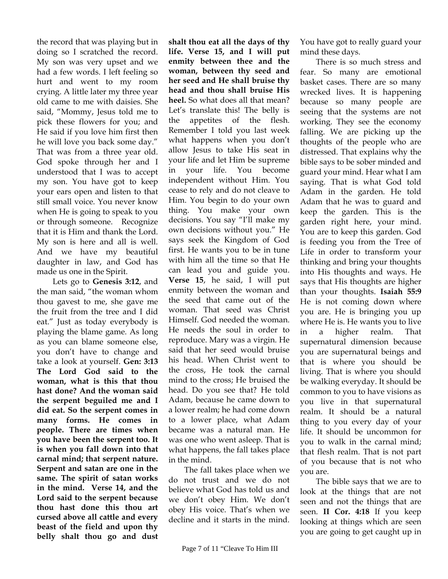the record that was playing but in doing so I scratched the record. My son was very upset and we had a few words. I left feeling so hurt and went to my room crying. A little later my three year old came to me with daisies. She said, "Mommy, Jesus told me to pick these flowers for you; and He said if you love him first then he will love you back some day." That was from a three year old. God spoke through her and I understood that I was to accept my son. You have got to keep your ears open and listen to that still small voice. You never know when He is going to speak to you or through someone. Recognize that it is Him and thank the Lord. My son is here and all is well. And we have my beautiful daughter in law, and God has made us one in the Spirit.

Lets go to **Genesis 3:12**, and the man said, "the woman whom thou gavest to me, she gave me the fruit from the tree and I did eat." Just as today everybody is playing the blame game. As long as you can blame someone else, you don't have to change and take a look at yourself. **Gen: 3:13 The Lord God said to the woman, what is this that thou hast done? And the woman said the serpent beguiled me and I did eat. So the serpent comes in many forms. He comes in people. There are times when you have been the serpent too. It is when you fall down into that carnal mind; that serpent nature. Serpent and satan are one in the same. The spirit of satan works in the mind. Verse 14, and the Lord said to the serpent because thou hast done this thou art cursed above all cattle and every beast of the field and upon thy belly shalt thou go and dust**  **shalt thou eat all the days of thy life. Verse 15, and I will put enmity between thee and the woman, between thy seed and her seed and He shall bruise thy head and thou shall bruise His heel.** So what does all that mean? Let's translate this! The belly is the appetites of the flesh. Remember I told you last week what happens when you don't allow Jesus to take His seat in your life and let Him be supreme in your life. You become independent without Him. You cease to rely and do not cleave to Him. You begin to do your own thing. You make your own decisions. You say "I'll make my own decisions without you." He says seek the Kingdom of God first. He wants you to be in tune with him all the time so that He can lead you and guide you. **Verse 15**, he said, I will put enmity between the woman and the seed that came out of the woman. That seed was Christ Himself. God needed the woman. He needs the soul in order to reproduce. Mary was a virgin. He said that her seed would bruise his head. When Christ went to the cross, He took the carnal mind to the cross; He bruised the head. Do you see that? He told Adam, because he came down to a lower realm; he had come down to a lower place, what Adam became was a natural man. He was one who went asleep. That is what happens, the fall takes place in the mind.

The fall takes place when we do not trust and we do not believe what God has told us and we don't obey Him. We don't obey His voice. That's when we decline and it starts in the mind.

You have got to really guard your mind these days.

There is so much stress and fear. So many are emotional basket cases. There are so many wrecked lives. It is happening because so many people are seeing that the systems are not working. They see the economy falling. We are picking up the thoughts of the people who are distressed. That explains why the bible says to be sober minded and guard your mind. Hear what I am saying. That is what God told Adam in the garden. He told Adam that he was to guard and keep the garden. This is the garden right here, your mind. You are to keep this garden. God is feeding you from the Tree of Life in order to transform your thinking and bring your thoughts into His thoughts and ways. He says that His thoughts are higher than your thoughts. **Isaiah 55:9** He is not coming down where you are. He is bringing you up where He is. He wants you to live in a higher realm. That supernatural dimension because you are supernatural beings and that is where you should be living. That is where you should be walking everyday. It should be common to you to have visions as you live in that supernatural realm. It should be a natural thing to you every day of your life. It should be uncommon for you to walk in the carnal mind; that flesh realm. That is not part of you because that is not who you are.

The bible says that we are to look at the things that are not seen and not the things that are seen. **II Cor. 4:18** If you keep looking at things which are seen you are going to get caught up in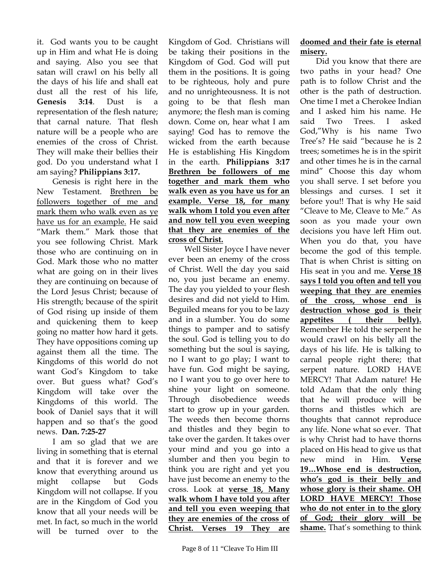it. God wants you to be caught up in Him and what He is doing and saying. Also you see that satan will crawl on his belly all the days of his life and shall eat dust all the rest of his life, **Genesis 3:14.** Dust is representation of the flesh nature; that carnal nature. That flesh nature will be a people who are enemies of the cross of Christ. They will make their bellies their god. Do you understand what I am saying? **Philippians 3:17.**

Genesis is right here in the New Testament. Brethren be followers together of me and mark them who walk even as ye have us for an example. He said "Mark them." Mark those that you see following Christ. Mark those who are continuing on in God. Mark those who no matter what are going on in their lives they are continuing on because of the Lord Jesus Christ; because of His strength; because of the spirit of God rising up inside of them and quickening them to keep going no matter how hard it gets. They have oppositions coming up against them all the time. The Kingdoms of this world do not want God's Kingdom to take over. But guess what? God's Kingdom will take over the Kingdoms of this world. The book of Daniel says that it will happen and so that's the good news. **Dan. 7:25-27**

I am so glad that we are living in something that is eternal and that it is forever and we know that everything around us might collapse but Gods Kingdom will not collapse. If you are in the Kingdom of God you know that all your needs will be met. In fact, so much in the world will be turned over to the Kingdom of God. Christians will be taking their positions in the Kingdom of God. God will put them in the positions. It is going to be righteous, holy and pure and no unrighteousness. It is not going to be that flesh man anymore; the flesh man is coming down. Come on, hear what I am saying! God has to remove the wicked from the earth because He is establishing His Kingdom in the earth. **Philippians 3:17 Brethren be followers of me together and mark them who walk even as you have us for an example. Verse 18, for many walk whom I told you even after and now tell you even weeping that they are enemies of the cross of Christ.**

Well Sister Joyce I have never ever been an enemy of the cross of Christ. Well the day you said no, you just became an enemy. The day you yielded to your flesh desires and did not yield to Him. Beguiled means for you to be lazy and in a slumber. You do some things to pamper and to satisfy the soul. God is telling you to do something but the soul is saying, no I want to go play; I want to have fun. God might be saying, no I want you to go over here to shine your light on someone. Through disobedience weeds start to grow up in your garden. The weeds then become thorns and thistles and they begin to take over the garden. It takes over your mind and you go into a slumber and then you begin to think you are right and yet you have just become an enemy to the cross. Look at **verse 18, Many walk whom I have told you after and tell you even weeping that they are enemies of the cross of Christ. Verses 19 They are** 

Did you know that there are two paths in your head? One path is to follow Christ and the other is the path of destruction. One time I met a Cherokee Indian and I asked him his name. He said Two Trees. I asked God,"Why is his name Two Tree's? He said "because he is 2 trees; sometimes he is in the spirit and other times he is in the carnal mind" Choose this day whom you shall serve. I set before you blessings and curses. I set it before you!! That is why He said "Cleave to Me, Cleave to Me." As soon as you made your own decisions you have left Him out. When you do that, you have become the god of this temple. That is when Christ is sitting on His seat in you and me. **Verse 18 says I told you often and tell you weeping that they are enemies of the cross, whose end is destruction whose god is their appetites ( their belly).** Remember He told the serpent he would crawl on his belly all the days of his life. He is talking to carnal people right there; that serpent nature. LORD HAVE MERCY! That Adam nature! He told Adam that the only thing that he will produce will be thorns and thistles which are thoughts that cannot reproduce any life. None what so ever. That is why Christ had to have thorns placed on His head to give us that new mind in Him. **Verse 19…Whose end is destruction, who's god is their belly and whose glory is their shame. OH LORD HAVE MERCY! Those who do not enter in to the glory of God; their glory will be shame.** That's something to think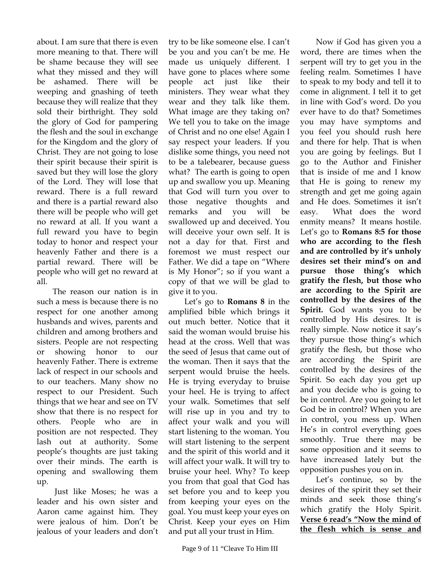about. I am sure that there is even more meaning to that. There will be shame because they will see what they missed and they will be ashamed. There will be weeping and gnashing of teeth because they will realize that they sold their birthright. They sold the glory of God for pampering the flesh and the soul in exchange for the Kingdom and the glory of Christ. They are not going to lose their spirit because their spirit is saved but they will lose the glory of the Lord. They will lose that reward. There is a full reward and there is a partial reward also there will be people who will get no reward at all. If you want a full reward you have to begin today to honor and respect your heavenly Father and there is a partial reward. There will be people who will get no reward at all.

The reason our nation is in such a mess is because there is no respect for one another among husbands and wives, parents and children and among brothers and sisters. People are not respecting or showing honor to our heavenly Father. There is extreme lack of respect in our schools and to our teachers. Many show no respect to our President. Such things that we hear and see on TV show that there is no respect for others. People who are in position are not respected. They lash out at authority. Some people's thoughts are just taking over their minds. The earth is opening and swallowing them up.

 Just like Moses; he was a leader and his own sister and Aaron came against him. They were jealous of him. Don't be jealous of your leaders and don't

try to be like someone else. I can't be you and you can't be me. He made us uniquely different. I have gone to places where some people act just like their ministers. They wear what they wear and they talk like them. What image are they taking on? We tell you to take on the image of Christ and no one else! Again I say respect your leaders. If you dislike some things, you need not to be a talebearer, because guess what? The earth is going to open up and swallow you up. Meaning that God will turn you over to those negative thoughts and remarks and you will be swallowed up and deceived. You will deceive your own self. It is not a day for that. First and foremost we must respect our Father. We did a tape on "Where is My Honor"; so if you want a copy of that we will be glad to give it to you.

Let's go to **Romans 8** in the amplified bible which brings it out much better. Notice that it said the woman would bruise his head at the cross. Well that was the seed of Jesus that came out of the woman. Then it says that the serpent would bruise the heels. He is trying everyday to bruise your heel. He is trying to affect your walk. Sometimes that self will rise up in you and try to affect your walk and you will start listening to the woman. You will start listening to the serpent and the spirit of this world and it will affect your walk. It will try to bruise your heel. Why? To keep you from that goal that God has set before you and to keep you from keeping your eyes on the goal. You must keep your eyes on Christ. Keep your eyes on Him and put all your trust in Him.

Now if God has given you a word, there are times when the serpent will try to get you in the feeling realm. Sometimes I have to speak to my body and tell it to come in alignment. I tell it to get in line with God's word. Do you ever have to do that? Sometimes you may have symptoms and you feel you should rush here and there for help. That is when you are going by feelings. But I go to the Author and Finisher that is inside of me and I know that He is going to renew my strength and get me going again and He does. Sometimes it isn't easy. What does the word enmity means? It means hostile. Let's go to **Romans 8:5 for those who are according to the flesh and are controlled by it's unholy desires set their mind's on and pursue those thing's which gratify the flesh, but those who are according to the Spirit are controlled by the desires of the Spirit.** God wants you to be controlled by His desires. It is really simple. Now notice it say's they pursue those thing's which gratify the flesh, but those who are according the Spirit are controlled by the desires of the Spirit. So each day you get up and you decide who is going to be in control. Are you going to let God be in control? When you are in control, you mess up. When He's in control everything goes smoothly. True there may be some opposition and it seems to have increased lately but the opposition pushes you on in.

Let's continue, so by the desires of the spirit they set their minds and seek those thing's which gratify the Holy Spirit. **Verse 6 read's "Now the mind of the flesh which is sense and**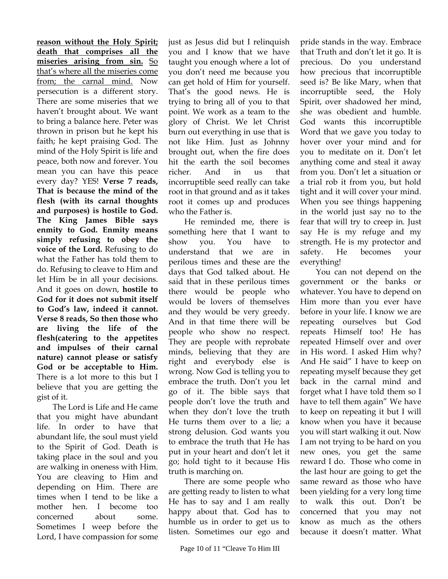**reason without the Holy Spirit; death that comprises all the miseries arising from sin.** So that's where all the miseries come from; the carnal mind. Now persecution is a different story. There are some miseries that we haven't brought about. We want to bring a balance here. Peter was thrown in prison but he kept his faith; he kept praising God. The mind of the Holy Spirit is life and peace, both now and forever. You mean you can have this peace every day? YES! **Verse 7 reads, That is because the mind of the flesh (with its carnal thoughts and purposes) is hostile to God. The King James Bible says enmity to God. Enmity means simply refusing to obey the voice of the Lord.** Refusing to do what the Father has told them to do. Refusing to cleave to Him and let Him be in all your decisions. And it goes on down, **hostile to God for it does not submit itself to God's law, indeed it cannot. Verse 8 reads, So then those who are living the life of the flesh(catering to the appetites and impulses of their carnal nature) cannot please or satisfy God or be acceptable to Him.** There is a lot more to this but I believe that you are getting the gist of it.

The Lord is Life and He came that you might have abundant life. In order to have that abundant life, the soul must yield to the Spirit of God. Death is taking place in the soul and you are walking in oneness with Him. You are cleaving to Him and depending on Him. There are times when I tend to be like a mother hen. I become too concerned about some. Sometimes I weep before the Lord, I have compassion for some

just as Jesus did but I relinquish you and I know that we have taught you enough where a lot of you don't need me because you can get hold of Him for yourself. That's the good news. He is trying to bring all of you to that point. We work as a team to the glory of Christ. We let Christ burn out everything in use that is not like Him. Just as Johnny brought out, when the fire does hit the earth the soil becomes richer. And in us that incorruptible seed really can take root in that ground and as it takes root it comes up and produces who the Father is.

He reminded me, there is something here that I want to show you. You have to understand that we are in perilous times and these are the days that God talked about. He said that in these perilous times there would be people who would be lovers of themselves and they would be very greedy. And in that time there will be people who show no respect. They are people with reprobate minds, believing that they are right and everybody else is wrong. Now God is telling you to embrace the truth. Don't you let go of it. The bible says that people don't love the truth and when they don't love the truth He turns them over to a lie; a strong delusion. God wants you to embrace the truth that He has put in your heart and don't let it go; hold tight to it because His truth is marching on.

There are some people who are getting ready to listen to what He has to say and I am really happy about that. God has to humble us in order to get us to listen. Sometimes our ego and

pride stands in the way. Embrace that Truth and don't let it go. It is precious. Do you understand how precious that incorruptible seed is? Be like Mary, when that incorruptible seed, the Holy Spirit, over shadowed her mind, she was obedient and humble. God wants this incorruptible Word that we gave you today to hover over your mind and for you to meditate on it. Don't let anything come and steal it away from you. Don't let a situation or a trial rob it from you, but hold tight and it will cover your mind. When you see things happening in the world just say no to the fear that will try to creep in. Just say He is my refuge and my strength. He is my protector and safety. He becomes your everything!

You can not depend on the government or the banks or whatever. You have to depend on Him more than you ever have before in your life. I know we are repeating ourselves but God repeats Himself too! He has repeated Himself over and over in His word. I asked Him why? And He said" I have to keep on repeating myself because they get back in the carnal mind and forget what I have told them so I have to tell them again" We have to keep on repeating it but I will know when you have it because you will start walking it out. Now I am not trying to be hard on you new ones, you get the same reward I do. Those who come in the last hour are going to get the same reward as those who have been yielding for a very long time to walk this out. Don't be concerned that you may not know as much as the others because it doesn't matter. What